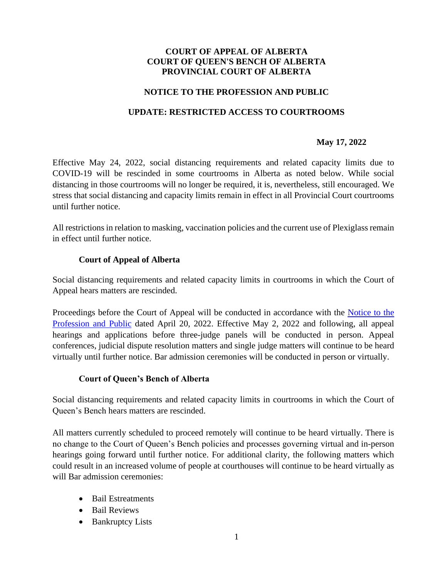## **COURT OF APPEAL OF ALBERTA COURT OF QUEEN'S BENCH OF ALBERTA PROVINCIAL COURT OF ALBERTA**

## **NOTICE TO THE PROFESSION AND PUBLIC**

## **UPDATE: RESTRICTED ACCESS TO COURTROOMS**

#### **May 17, 2022**

Effective May 24, 2022, social distancing requirements and related capacity limits due to COVID-19 will be rescinded in some courtrooms in Alberta as noted below. While social distancing in those courtrooms will no longer be required, it is, nevertheless, still encouraged. We stress that social distancing and capacity limits remain in effect in all Provincial Court courtrooms until further notice.

All restrictions in relation to masking, vaccination policies and the current use of Plexiglass remain in effect until further notice.

#### **Court of Appeal of Alberta**

Social distancing requirements and related capacity limits in courtrooms in which the Court of Appeal hears matters are rescinded.

Proceedings before the Court of Appeal will be conducted in accordance with the Notice to the [Profession and Public](https://albertacourts.ca/docs/default-source/ca/return-in-person-hearings.pdf?sfvrsn=2e1cd183_3) dated April 20, 2022. Effective May 2, 2022 and following, all appeal hearings and applications before three-judge panels will be conducted in person. Appeal conferences, judicial dispute resolution matters and single judge matters will continue to be heard virtually until further notice. Bar admission ceremonies will be conducted in person or virtually.

#### **Court of Queen's Bench of Alberta**

Social distancing requirements and related capacity limits in courtrooms in which the Court of Queen's Bench hears matters are rescinded.

All matters currently scheduled to proceed remotely will continue to be heard virtually. There is no change to the Court of Queen's Bench policies and processes governing virtual and in-person hearings going forward until further notice. For additional clarity, the following matters which could result in an increased volume of people at courthouses will continue to be heard virtually as will Bar admission ceremonies:

- Bail Estreatments
- Bail Reviews
- Bankruptcy Lists